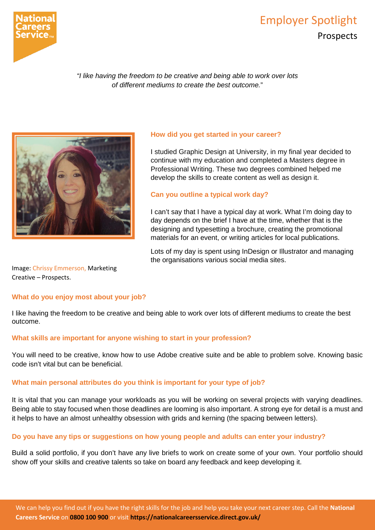

# Employer Spotlight Prospects

*"I like having the freedom to be creative and being able to work over lots of different mediums to create the best outcome.*"



# **How did you get started in your career?**

I studied Graphic Design at University, in my final year decided to continue with my education and completed a Masters degree in Professional Writing. These two degrees combined helped me develop the skills to create content as well as design it.

## **Can you outline a typical work day?**

I can't say that I have a typical day at work. What I'm doing day to day depends on the brief I have at the time, whether that is the designing and typesetting a brochure, creating the promotional materials for an event, or writing articles for local publications.

Lots of my day is spent using InDesign or Illustrator and managing the organisations various social media sites.

Image: Chrissy Emmerson, Marketing Creative – Prospects.

#### **What do you enjoy most about your job?**

I like having the freedom to be creative and being able to work over lots of different mediums to create the best outcome.

#### **What skills are important for anyone wishing to start in your profession?**

You will need to be creative, know how to use Adobe creative suite and be able to problem solve. Knowing basic code isn't vital but can be beneficial.

## **What main personal attributes do you think is important for your type of job?**

It is vital that you can manage your workloads as you will be working on several projects with varying deadlines. Being able to stay focused when those deadlines are looming is also important. A strong eye for detail is a must and it helps to have an almost unhealthy obsession with grids and kerning (the spacing between letters).

#### **Do you have any tips or suggestions on how young people and adults can enter your industry?**

Build a solid portfolio, if you don't have any live briefs to work on create some of your own. Your portfolio should show off your skills and creative talents so take on board any feedback and keep developing it.